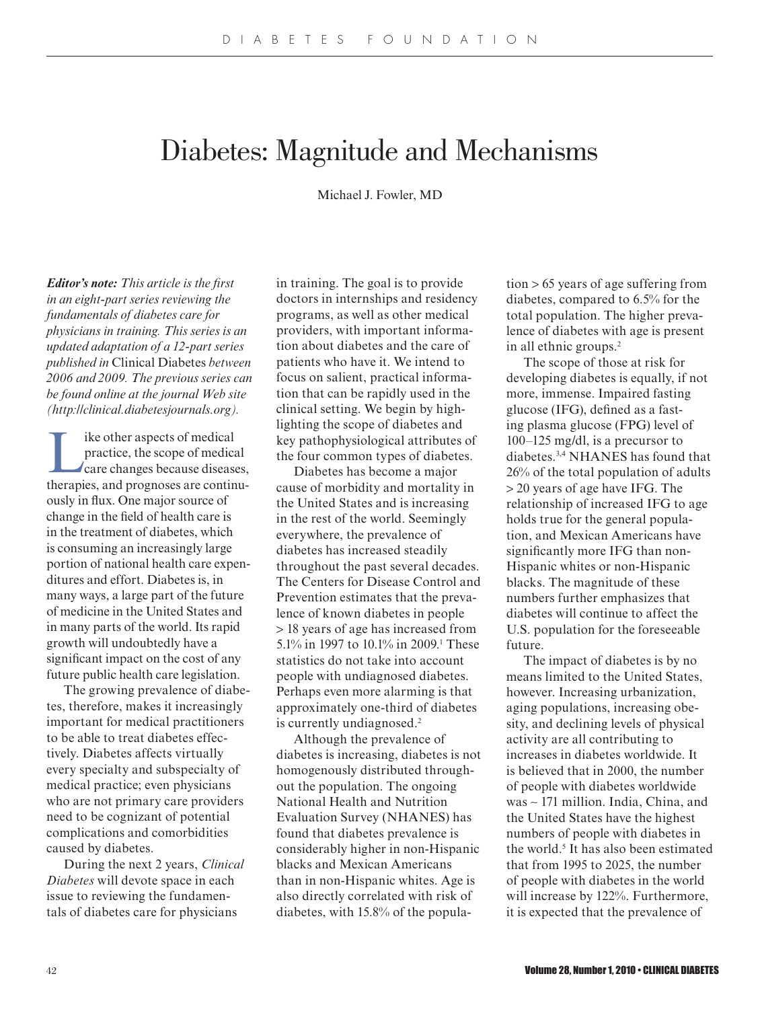# Diabetes: Magnitude and Mechanisms

Michael J. Fowler, MD

*Editor's note: This article is the first in an eight-part series reviewing the fundamentals of diabetes care for physicians in training. This series is an updated adaptation of a 12-part series published in* Clinical Diabetes *between 2006 and 2009. The previous series can be found online at the journal Web site (http://clinical.diabetesjournals.org).*

I ike other aspects of medical<br>
practice, the scope of medical<br>
care changes because diseases,<br>
therenies and meanses are continu practice, the scope of medical therapies, and prognoses are continuously in flux. One major source of change in the field of health care is in the treatment of diabetes, which is consuming an increasingly large portion of national health care expenditures and effort. Diabetes is, in many ways, a large part of the future of medicine in the United States and in many parts of the world. Its rapid growth will undoubtedly have a significant impact on the cost of any future public health care legislation.

The growing prevalence of diabetes, therefore, makes it increasingly important for medical practitioners to be able to treat diabetes effectively. Diabetes affects virtually every specialty and subspecialty of medical practice; even physicians who are not primary care providers need to be cognizant of potential complications and comorbidities caused by diabetes.

During the next 2 years, *Clinical Diabetes* will devote space in each issue to reviewing the fundamentals of diabetes care for physicians

in training. The goal is to provide doctors in internships and residency programs, as well as other medical providers, with important information about diabetes and the care of patients who have it. We intend to focus on salient, practical information that can be rapidly used in the clinical setting. We begin by highlighting the scope of diabetes and key pathophysiological attributes of the four common types of diabetes.

Diabetes has become a major cause of morbidity and mortality in the United States and is increasing in the rest of the world. Seemingly everywhere, the prevalence of diabetes has increased steadily throughout the past several decades. The Centers for Disease Control and Prevention estimates that the prevalence of known diabetes in people > 18 years of age has increased from 5.1% in 1997 to 10.1% in 2009.<sup>1</sup> These statistics do not take into account people with undiagnosed diabetes. Perhaps even more alarming is that approximately one-third of diabetes is currently undiagnosed.<sup>2</sup>

Although the prevalence of diabetes is increasing, diabetes is not homogenously distributed throughout the population. The ongoing National Health and Nutrition Evaluation Survey (NHANES) has found that diabetes prevalence is considerably higher in non-Hispanic blacks and Mexican Americans than in non-Hispanic whites. Age is also directly correlated with risk of diabetes, with 15.8% of the population > 65 years of age suffering from diabetes, compared to 6.5% for the total population. The higher prevalence of diabetes with age is present in all ethnic groups.<sup>2</sup>

The scope of those at risk for developing diabetes is equally, if not more, immense. Impaired fasting glucose (IFG), defined as a fasting plasma glucose (FPG) level of 100–125 mg/dl, is a precursor to diabetes.3,4 NHANES has found that 26% of the total population of adults > 20 years of age have IFG. The relationship of increased IFG to age holds true for the general population, and Mexican Americans have significantly more IFG than non-Hispanic whites or non-Hispanic blacks. The magnitude of these numbers further emphasizes that diabetes will continue to affect the U.S. population for the foreseeable future.

The impact of diabetes is by no means limited to the United States, however. Increasing urbanization, aging populations, increasing obesity, and declining levels of physical activity are all contributing to increases in diabetes worldwide. It is believed that in 2000, the number of people with diabetes worldwide was ∼ 171 million. India, China, and the United States have the highest numbers of people with diabetes in the world.<sup>5</sup> It has also been estimated that from 1995 to 2025, the number of people with diabetes in the world will increase by 122%. Furthermore, it is expected that the prevalence of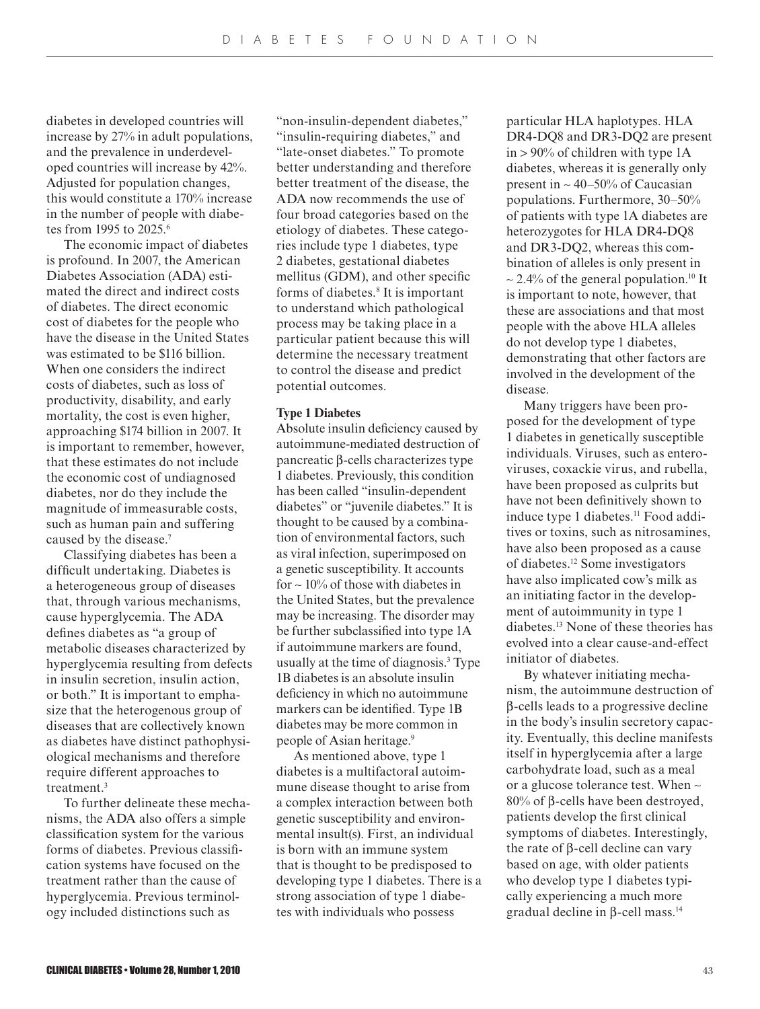diabetes in developed countries will increase by 27% in adult populations, and the prevalence in underdeveloped countries will increase by 42%. Adjusted for population changes, this would constitute a 170% increase in the number of people with diabetes from 1995 to 2025.<sup>6</sup>

The economic impact of diabetes is profound. In 2007, the American Diabetes Association (ADA) estimated the direct and indirect costs of diabetes. The direct economic cost of diabetes for the people who have the disease in the United States was estimated to be \$116 billion. When one considers the indirect costs of diabetes, such as loss of productivity, disability, and early mortality, the cost is even higher, approaching \$174 billion in 2007. It is important to remember, however, that these estimates do not include the economic cost of undiagnosed diabetes, nor do they include the magnitude of immeasurable costs, such as human pain and suffering caused by the disease.<sup>7</sup>

Classifying diabetes has been a difficult undertaking. Diabetes is a heterogeneous group of diseases that, through various mechanisms, cause hyperglycemia. The ADA defines diabetes as "a group of metabolic diseases characterized by hyperglycemia resulting from defects in insulin secretion, insulin action, or both." It is important to emphasize that the heterogenous group of diseases that are collectively known as diabetes have distinct pathophysiological mechanisms and therefore require different approaches to treatment.<sup>3</sup>

To further delineate these mechanisms, the ADA also offers a simple classification system for the various forms of diabetes. Previous classification systems have focused on the treatment rather than the cause of hyperglycemia. Previous terminology included distinctions such as

"non-insulin-dependent diabetes," "insulin-requiring diabetes," and "late-onset diabetes." To promote better understanding and therefore better treatment of the disease, the ADA now recommends the use of four broad categories based on the etiology of diabetes. These categories include type 1 diabetes, type 2 diabetes, gestational diabetes mellitus (GDM), and other specific forms of diabetes.<sup>8</sup> It is important to understand which pathological process may be taking place in a particular patient because this will determine the necessary treatment to control the disease and predict potential outcomes.

## **Type 1 Diabetes**

Absolute insulin deficiency caused by autoimmune-mediated destruction of pancreatic β-cells characterizes type 1 diabetes. Previously, this condition has been called "insulin-dependent diabetes" or "juvenile diabetes." It is thought to be caused by a combination of environmental factors, such as viral infection, superimposed on a genetic susceptibility. It accounts for ∼ 10% of those with diabetes in the United States, but the prevalence may be increasing. The disorder may be further subclassified into type 1A if autoimmune markers are found, usually at the time of diagnosis.<sup>3</sup> Type 1B diabetes is an absolute insulin deficiency in which no autoimmune markers can be identified. Type 1B diabetes may be more common in people of Asian heritage.<sup>9</sup>

As mentioned above, type 1 diabetes is a multifactoral autoimmune disease thought to arise from a complex interaction between both genetic susceptibility and environmental insult(s). First, an individual is born with an immune system that is thought to be predisposed to developing type 1 diabetes. There is a strong association of type 1 diabetes with individuals who possess

particular HLA haplotypes. HLA DR4-DQ8 and DR3-DQ2 are present in > 90% of children with type 1A diabetes, whereas it is generally only present in ∼ 40–50% of Caucasian populations. Furthermore, 30–50% of patients with type 1A diabetes are heterozygotes for HLA DR4-DQ8 and DR3-DQ2, whereas this combination of alleles is only present in ∼ 2.4% of the general population.10 It is important to note, however, that these are associations and that most people with the above HLA alleles do not develop type 1 diabetes, demonstrating that other factors are involved in the development of the disease.

Many triggers have been proposed for the development of type 1 diabetes in genetically susceptible individuals. Viruses, such as enteroviruses, coxackie virus, and rubella, have been proposed as culprits but have not been definitively shown to induce type 1 diabetes.<sup>11</sup> Food additives or toxins, such as nitrosamines, have also been proposed as a cause of diabetes.12 Some investigators have also implicated cow's milk as an initiating factor in the development of autoimmunity in type 1 diabetes.13 None of these theories has evolved into a clear cause-and-effect initiator of diabetes.

By whatever initiating mechanism, the autoimmune destruction of β-cells leads to a progressive decline in the body's insulin secretory capacity. Eventually, this decline manifests itself in hyperglycemia after a large carbohydrate load, such as a meal or a glucose tolerance test. When ∼ 80% of β-cells have been destroyed, patients develop the first clinical symptoms of diabetes. Interestingly, the rate of β-cell decline can vary based on age, with older patients who develop type 1 diabetes typically experiencing a much more gradual decline in β-cell mass.14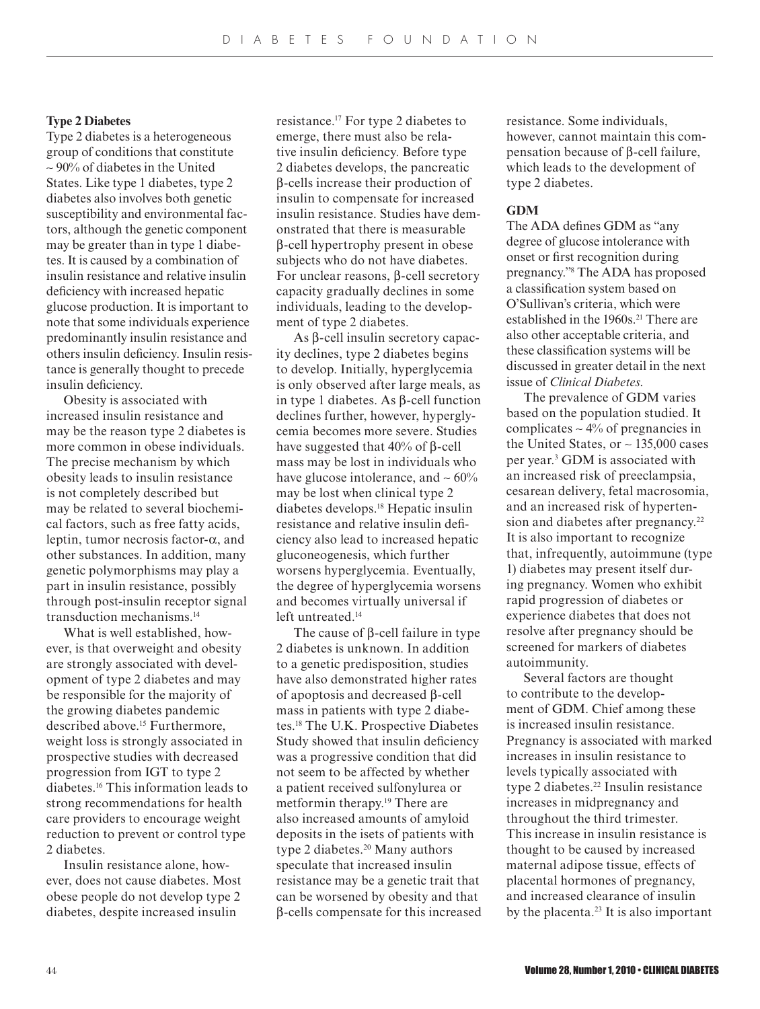#### **Type 2 Diabetes**

Type 2 diabetes is a heterogeneous group of conditions that constitute ∼ 90% of diabetes in the United States. Like type 1 diabetes, type 2 diabetes also involves both genetic susceptibility and environmental factors, although the genetic component may be greater than in type 1 diabetes. It is caused by a combination of insulin resistance and relative insulin deficiency with increased hepatic glucose production. It is important to note that some individuals experience predominantly insulin resistance and others insulin deficiency. Insulin resistance is generally thought to precede insulin deficiency.

Obesity is associated with increased insulin resistance and may be the reason type 2 diabetes is more common in obese individuals. The precise mechanism by which obesity leads to insulin resistance is not completely described but may be related to several biochemical factors, such as free fatty acids, leptin, tumor necrosis factor-α, and other substances. In addition, many genetic polymorphisms may play a part in insulin resistance, possibly through post-insulin receptor signal transduction mechanisms.<sup>14</sup>

What is well established, however, is that overweight and obesity are strongly associated with development of type 2 diabetes and may be responsible for the majority of the growing diabetes pandemic described above.<sup>15</sup> Furthermore, weight loss is strongly associated in prospective studies with decreased progression from IGT to type 2 diabetes.16 This information leads to strong recommendations for health care providers to encourage weight reduction to prevent or control type 2 diabetes.

Insulin resistance alone, however, does not cause diabetes. Most obese people do not develop type 2 diabetes, despite increased insulin

resistance.17 For type 2 diabetes to emerge, there must also be relative insulin deficiency. Before type 2 diabetes develops, the pancreatic β-cells increase their production of insulin to compensate for increased insulin resistance. Studies have demonstrated that there is measurable β-cell hypertrophy present in obese subjects who do not have diabetes. For unclear reasons, β-cell secretory capacity gradually declines in some individuals, leading to the development of type 2 diabetes.

As β-cell insulin secretory capacity declines, type 2 diabetes begins to develop. Initially, hyperglycemia is only observed after large meals, as in type 1 diabetes. As β-cell function declines further, however, hyperglycemia becomes more severe. Studies have suggested that  $40\%$  of β-cell mass may be lost in individuals who have glucose intolerance, and ∼ 60% may be lost when clinical type 2 diabetes develops.18 Hepatic insulin resistance and relative insulin deficiency also lead to increased hepatic gluconeogenesis, which further worsens hyperglycemia. Eventually, the degree of hyperglycemia worsens and becomes virtually universal if left untreated.<sup>14</sup>

The cause of β-cell failure in type 2 diabetes is unknown. In addition to a genetic predisposition, studies have also demonstrated higher rates of apoptosis and decreased β-cell mass in patients with type 2 diabetes.18 The U.K. Prospective Diabetes Study showed that insulin deficiency was a progressive condition that did not seem to be affected by whether a patient received sulfonylurea or metformin therapy.19 There are also increased amounts of amyloid deposits in the isets of patients with type 2 diabetes.<sup>20</sup> Many authors speculate that increased insulin resistance may be a genetic trait that can be worsened by obesity and that β-cells compensate for this increased resistance. Some individuals, however, cannot maintain this compensation because of β-cell failure, which leads to the development of type 2 diabetes.

#### **GDM**

The ADA defines GDM as "any degree of glucose intolerance with onset or first recognition during pregnancy."<sup>8</sup> The ADA has proposed a classification system based on O'Sullivan's criteria, which were established in the 1960s.<sup>21</sup> There are also other acceptable criteria, and these classification systems will be discussed in greater detail in the next issue of *Clinical Diabetes*.

The prevalence of GDM varies based on the population studied. It complicates ∼ 4% of pregnancies in the United States, or ∼ 135,000 cases per year.<sup>3</sup> GDM is associated with an increased risk of preeclampsia, cesarean delivery, fetal macrosomia, and an increased risk of hypertension and diabetes after pregnancy.<sup>22</sup> It is also important to recognize that, infrequently, autoimmune (type 1) diabetes may present itself during pregnancy. Women who exhibit rapid progression of diabetes or experience diabetes that does not resolve after pregnancy should be screened for markers of diabetes autoimmunity.

Several factors are thought to contribute to the development of GDM. Chief among these is increased insulin resistance. Pregnancy is associated with marked increases in insulin resistance to levels typically associated with type 2 diabetes.<sup>22</sup> Insulin resistance increases in midpregnancy and throughout the third trimester. This increase in insulin resistance is thought to be caused by increased maternal adipose tissue, effects of placental hormones of pregnancy, and increased clearance of insulin by the placenta. $23$  It is also important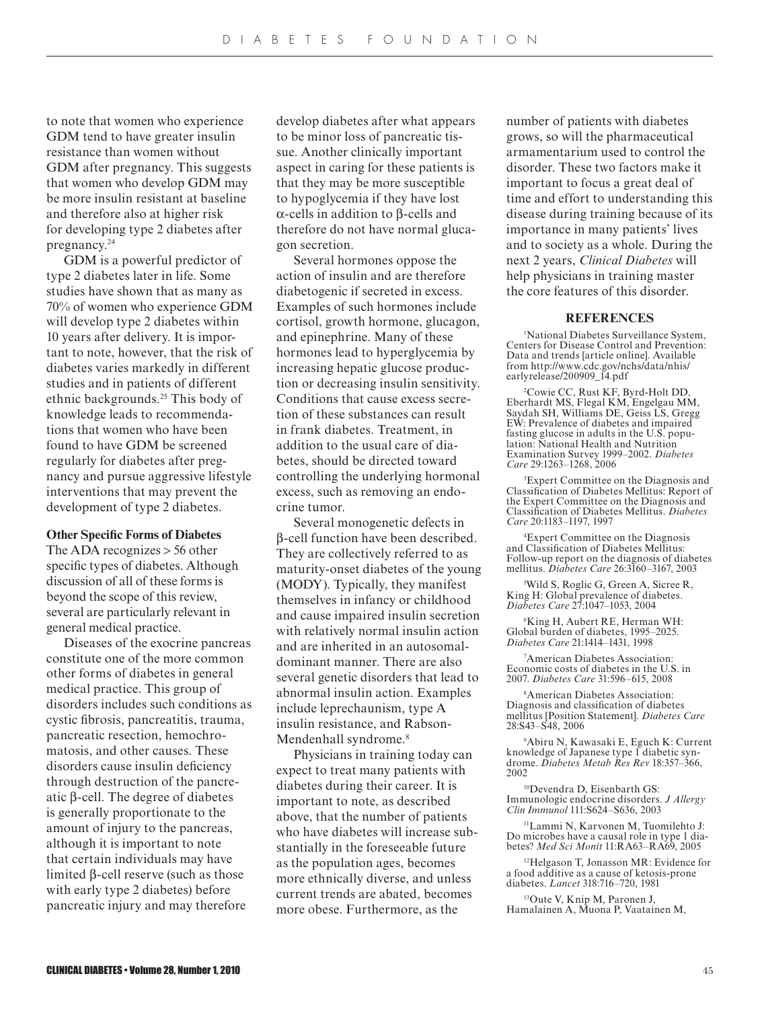to note that women who experience GDM tend to have greater insulin resistance than women without GDM after pregnancy. This suggests that women who develop GDM may be more insulin resistant at baseline and therefore also at higher risk for developing type 2 diabetes after pregnancy.<sup>24</sup>

GDM is a powerful predictor of type 2 diabetes later in life. Some studies have shown that as many as 70% of women who experience GDM will develop type 2 diabetes within 10 years after delivery. It is important to note, however, that the risk of diabetes varies markedly in different studies and in patients of different ethnic backgrounds.25 This body of knowledge leads to recommendations that women who have been found to have GDM be screened regularly for diabetes after pregnancy and pursue aggressive lifestyle interventions that may prevent the development of type 2 diabetes.

#### **Other Specific Forms of Diabetes**

The ADA recognizes > 56 other specific types of diabetes. Although discussion of all of these forms is beyond the scope of this review, several are particularly relevant in general medical practice.

Diseases of the exocrine pancreas constitute one of the more common other forms of diabetes in general medical practice. This group of disorders includes such conditions as cystic fibrosis, pancreatitis, trauma, pancreatic resection, hemochromatosis, and other causes. These disorders cause insulin deficiency through destruction of the pancreatic β-cell. The degree of diabetes is generally proportionate to the amount of injury to the pancreas, although it is important to note that certain individuals may have limited β-cell reserve (such as those with early type 2 diabetes) before pancreatic injury and may therefore

develop diabetes after what appears to be minor loss of pancreatic tissue. Another clinically important aspect in caring for these patients is that they may be more susceptible to hypoglycemia if they have lost α-cells in addition to β-cells and therefore do not have normal glucagon secretion.

Several hormones oppose the action of insulin and are therefore diabetogenic if secreted in excess. Examples of such hormones include cortisol, growth hormone, glucagon, and epinephrine. Many of these hormones lead to hyperglycemia by increasing hepatic glucose production or decreasing insulin sensitivity. Conditions that cause excess secretion of these substances can result in frank diabetes. Treatment, in addition to the usual care of diabetes, should be directed toward controlling the underlying hormonal excess, such as removing an endocrine tumor.

Several monogenetic defects in β-cell function have been described. They are collectively referred to as maturity-onset diabetes of the young (MODY). Typically, they manifest themselves in infancy or childhood and cause impaired insulin secretion with relatively normal insulin action and are inherited in an autosomaldominant manner. There are also several genetic disorders that lead to abnormal insulin action. Examples include leprechaunism, type A insulin resistance, and Rabson-Mendenhall syndrome.<sup>8</sup>

Physicians in training today can expect to treat many patients with diabetes during their career. It is important to note, as described above, that the number of patients who have diabetes will increase substantially in the foreseeable future as the population ages, becomes more ethnically diverse, and unless current trends are abated, becomes more obese. Furthermore, as the

number of patients with diabetes grows, so will the pharmaceutical armamentarium used to control the disorder. These two factors make it important to focus a great deal of time and effort to understanding this disease during training because of its importance in many patients' lives and to society as a whole. During the next 2 years, *Clinical Diabetes* will help physicians in training master the core features of this disorder.

## **REFERENCES**

1 National Diabetes Surveillance System, Centers for Disease Control and Prevention: Data and trends [article online]. Available from http://www.cdc.gov/nchs/data/nhis/ earlyrelease/200909\_14.pdf

2 Cowie CC, Rust KF, Byrd-Holt DD, Eberhardt MS, Flegal KM, Engelgau MM, Saydah SH, Williams DE, Geiss LS, Gregg EW: Prevalence of diabetes and impaired fasting glucose in adults in the U.S. population: National Health and Nutrition Examination Survey 1999–2002. *Diabetes Care* 29:1263–1268, 2006

3 Expert Committee on the Diagnosis and Classification of Diabetes Mellitus: Report of the Expert Committee on the Diagnosis and Classification of Diabetes Mellitus. *Diabetes Care* 20:1183–1197, 1997

4 Expert Committee on the Diagnosis and Classification of Diabetes Mellitus: Follow-up report on the diagnosis of diabetes mellitus. *Diabetes Care* 26:3160–3167, 2003

5 Wild S, Roglic G, Green A, Sicree R, King H: Global prevalence of diabetes. *Diabetes Care* 27:1047–1053, 2004

6 King H, Aubert RE, Herman WH: Global burden of diabetes, 1995–2025. *Diabetes Care* 21:1414–1431, 1998

7 American Diabetes Association: Economic costs of diabetes in the U.S. in 2007. *Diabetes Care* 31:596–615, 2008

8 American Diabetes Association: Diagnosis and classification of diabetes mellitus [Position Statement]. *Diabetes Care* 28:S43–S48, 2006

9 Abiru N, Kawasaki E, Eguch K: Current knowledge of Japanese type 1 diabetic syndrome. *Diabetes Metab Res Rev* 18:357–366, 2002

<sup>10</sup>Devendra D, Eisenbarth GS: Immunologic endocrine disorders. *J Allergy Clin Immunol* 111:S624–S636, 2003

<sup>11</sup>Lammi N, Karvonen M, Tuomilehto J: Do microbes have a causal role in type 1 diabetes? *Med Sci Monit* 11:RA63–RA69, 2005

<sup>12</sup>Helgason T, Jonasson MR: Evidence for a food additive as a cause of ketosis-prone diabetes. *Lancet* 318:716–720, 1981

<sup>13</sup>Oute V, Knip M, Paronen J, Hamalainen A, Muona P, Vaatainen M,